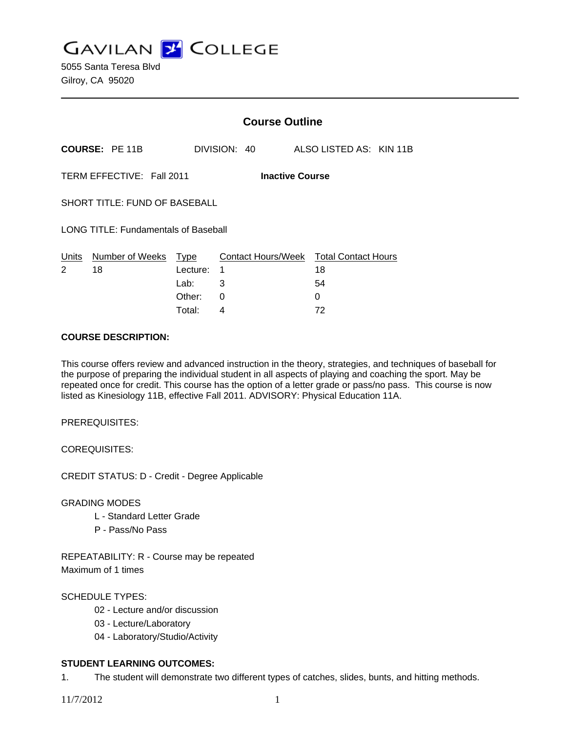**GAVILAN Z COLLEGE** 

|                                                     |                       | <b>Course Outline</b> |              |  |  |                                              |  |
|-----------------------------------------------------|-----------------------|-----------------------|--------------|--|--|----------------------------------------------|--|
|                                                     | <b>COURSE: PE 11B</b> |                       | DIVISION: 40 |  |  | ALSO LISTED AS: KIN 11B                      |  |
| TERM EFFECTIVE: Fall 2011<br><b>Inactive Course</b> |                       |                       |              |  |  |                                              |  |
| <b>SHORT TITLE: FUND OF BASEBALL</b>                |                       |                       |              |  |  |                                              |  |
| <b>LONG TITLE: Fundamentals of Baseball</b>         |                       |                       |              |  |  |                                              |  |
| Units<br>2                                          | Number of Weeks<br>18 | Type<br>Lecture:      | 1            |  |  | Contact Hours/Week Total Contact Hours<br>18 |  |
|                                                     |                       | Lab:                  | 3            |  |  | 54                                           |  |
|                                                     |                       | Other:                | 0            |  |  | 0                                            |  |

Total: 4 72

## **COURSE DESCRIPTION:**

This course offers review and advanced instruction in the theory, strategies, and techniques of baseball for the purpose of preparing the individual student in all aspects of playing and coaching the sport. May be repeated once for credit. This course has the option of a letter grade or pass/no pass. This course is now listed as Kinesiology 11B, effective Fall 2011. ADVISORY: Physical Education 11A.

PREREQUISITES:

COREQUISITES:

CREDIT STATUS: D - Credit - Degree Applicable

GRADING MODES

- L Standard Letter Grade
- P Pass/No Pass

REPEATABILITY: R - Course may be repeated Maximum of 1 times

## SCHEDULE TYPES:

- 02 Lecture and/or discussion
- 03 Lecture/Laboratory
- 04 Laboratory/Studio/Activity

## **STUDENT LEARNING OUTCOMES:**

1. The student will demonstrate two different types of catches, slides, bunts, and hitting methods.

11/7/2012 1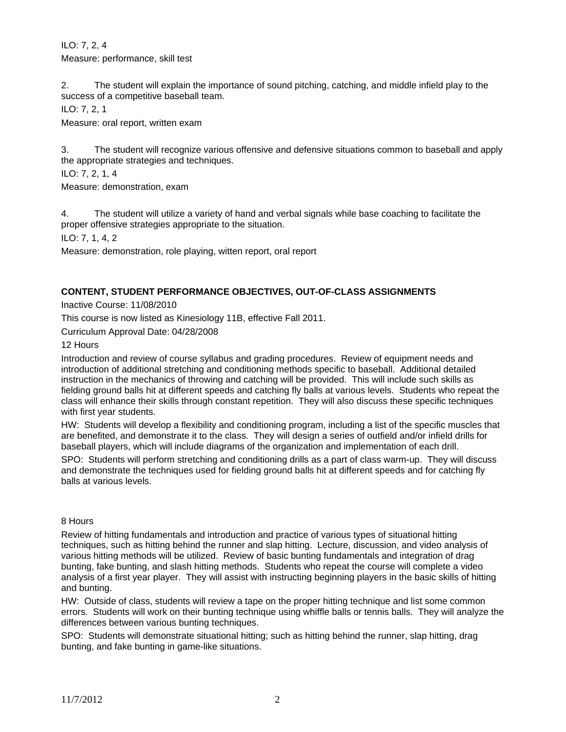ILO: 7, 2, 4 Measure: performance, skill test

2. The student will explain the importance of sound pitching, catching, and middle infield play to the success of a competitive baseball team.

ILO: 7, 2, 1

Measure: oral report, written exam

3. The student will recognize various offensive and defensive situations common to baseball and apply the appropriate strategies and techniques.

ILO: 7, 2, 1, 4

Measure: demonstration, exam

4. The student will utilize a variety of hand and verbal signals while base coaching to facilitate the proper offensive strategies appropriate to the situation.

ILO: 7, 1, 4, 2

Measure: demonstration, role playing, witten report, oral report

## **CONTENT, STUDENT PERFORMANCE OBJECTIVES, OUT-OF-CLASS ASSIGNMENTS**

Inactive Course: 11/08/2010

This course is now listed as Kinesiology 11B, effective Fall 2011.

Curriculum Approval Date: 04/28/2008

#### 12 Hours

Introduction and review of course syllabus and grading procedures. Review of equipment needs and introduction of additional stretching and conditioning methods specific to baseball. Additional detailed instruction in the mechanics of throwing and catching will be provided. This will include such skills as fielding ground balls hit at different speeds and catching fly balls at various levels. Students who repeat the class will enhance their skills through constant repetition. They will also discuss these specific techniques with first year students.

HW: Students will develop a flexibility and conditioning program, including a list of the specific muscles that are benefited, and demonstrate it to the class. They will design a series of outfield and/or infield drills for baseball players, which will include diagrams of the organization and implementation of each drill.

SPO: Students will perform stretching and conditioning drills as a part of class warm-up. They will discuss and demonstrate the techniques used for fielding ground balls hit at different speeds and for catching fly balls at various levels.

#### 8 Hours

Review of hitting fundamentals and introduction and practice of various types of situational hitting techniques, such as hitting behind the runner and slap hitting. Lecture, discussion, and video analysis of various hitting methods will be utilized. Review of basic bunting fundamentals and integration of drag bunting, fake bunting, and slash hitting methods. Students who repeat the course will complete a video analysis of a first year player. They will assist with instructing beginning players in the basic skills of hitting and bunting.

HW: Outside of class, students will review a tape on the proper hitting technique and list some common errors. Students will work on their bunting technique using whiffle balls or tennis balls. They will analyze the differences between various bunting techniques.

SPO: Students will demonstrate situational hitting; such as hitting behind the runner, slap hitting, drag bunting, and fake bunting in game-like situations.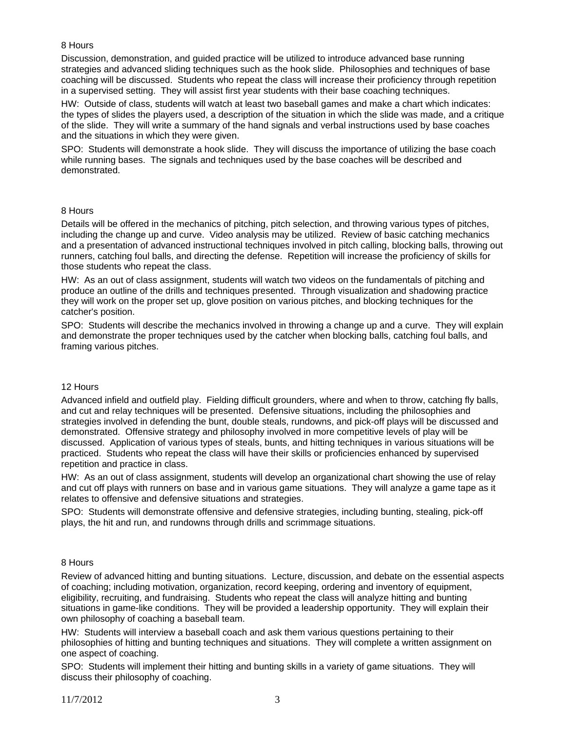## 8 Hours

Discussion, demonstration, and guided practice will be utilized to introduce advanced base running strategies and advanced sliding techniques such as the hook slide. Philosophies and techniques of base coaching will be discussed. Students who repeat the class will increase their proficiency through repetition in a supervised setting. They will assist first year students with their base coaching techniques.

HW: Outside of class, students will watch at least two baseball games and make a chart which indicates: the types of slides the players used, a description of the situation in which the slide was made, and a critique of the slide. They will write a summary of the hand signals and verbal instructions used by base coaches and the situations in which they were given.

SPO: Students will demonstrate a hook slide. They will discuss the importance of utilizing the base coach while running bases. The signals and techniques used by the base coaches will be described and demonstrated.

## 8 Hours

Details will be offered in the mechanics of pitching, pitch selection, and throwing various types of pitches, including the change up and curve. Video analysis may be utilized. Review of basic catching mechanics and a presentation of advanced instructional techniques involved in pitch calling, blocking balls, throwing out runners, catching foul balls, and directing the defense. Repetition will increase the proficiency of skills for those students who repeat the class.

HW: As an out of class assignment, students will watch two videos on the fundamentals of pitching and produce an outline of the drills and techniques presented. Through visualization and shadowing practice they will work on the proper set up, glove position on various pitches, and blocking techniques for the catcher's position.

SPO: Students will describe the mechanics involved in throwing a change up and a curve. They will explain and demonstrate the proper techniques used by the catcher when blocking balls, catching foul balls, and framing various pitches.

## 12 Hours

Advanced infield and outfield play. Fielding difficult grounders, where and when to throw, catching fly balls, and cut and relay techniques will be presented. Defensive situations, including the philosophies and strategies involved in defending the bunt, double steals, rundowns, and pick-off plays will be discussed and demonstrated. Offensive strategy and philosophy involved in more competitive levels of play will be discussed. Application of various types of steals, bunts, and hitting techniques in various situations will be practiced. Students who repeat the class will have their skills or proficiencies enhanced by supervised repetition and practice in class.

HW: As an out of class assignment, students will develop an organizational chart showing the use of relay and cut off plays with runners on base and in various game situations. They will analyze a game tape as it relates to offensive and defensive situations and strategies.

SPO: Students will demonstrate offensive and defensive strategies, including bunting, stealing, pick-off plays, the hit and run, and rundowns through drills and scrimmage situations.

## 8 Hours

Review of advanced hitting and bunting situations. Lecture, discussion, and debate on the essential aspects of coaching; including motivation, organization, record keeping, ordering and inventory of equipment, eligibility, recruiting, and fundraising. Students who repeat the class will analyze hitting and bunting situations in game-like conditions. They will be provided a leadership opportunity. They will explain their own philosophy of coaching a baseball team.

HW: Students will interview a baseball coach and ask them various questions pertaining to their philosophies of hitting and bunting techniques and situations. They will complete a written assignment on one aspect of coaching.

SPO: Students will implement their hitting and bunting skills in a variety of game situations. They will discuss their philosophy of coaching.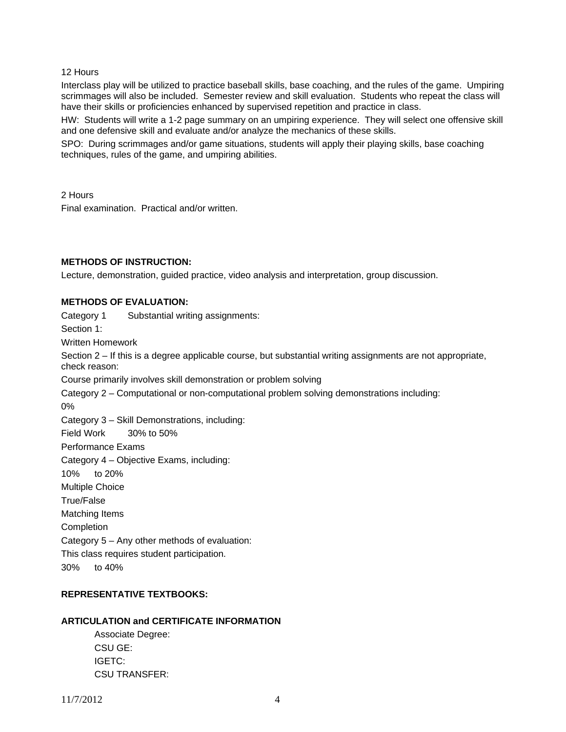#### 12 Hours

Interclass play will be utilized to practice baseball skills, base coaching, and the rules of the game. Umpiring scrimmages will also be included. Semester review and skill evaluation. Students who repeat the class will have their skills or proficiencies enhanced by supervised repetition and practice in class.

HW: Students will write a 1-2 page summary on an umpiring experience. They will select one offensive skill and one defensive skill and evaluate and/or analyze the mechanics of these skills.

SPO: During scrimmages and/or game situations, students will apply their playing skills, base coaching techniques, rules of the game, and umpiring abilities.

2 Hours

Final examination. Practical and/or written.

## **METHODS OF INSTRUCTION:**

Lecture, demonstration, guided practice, video analysis and interpretation, group discussion.

## **METHODS OF EVALUATION:**

Category 1 Substantial writing assignments:

Section 1:

Written Homework

Section 2 – If this is a degree applicable course, but substantial writing assignments are not appropriate, check reason:

Course primarily involves skill demonstration or problem solving

Category 2 – Computational or non-computational problem solving demonstrations including:

0%

Category 3 – Skill Demonstrations, including:

Field Work 30% to 50%

Performance Exams

Category 4 – Objective Exams, including:

10% to 20%

Multiple Choice

True/False

Matching Items

Completion

Category 5 – Any other methods of evaluation:

This class requires student participation.

30% to 40%

# **REPRESENTATIVE TEXTBOOKS:**

## **ARTICULATION and CERTIFICATE INFORMATION**

 Associate Degree: CSU GE: IGETC: CSU TRANSFER: